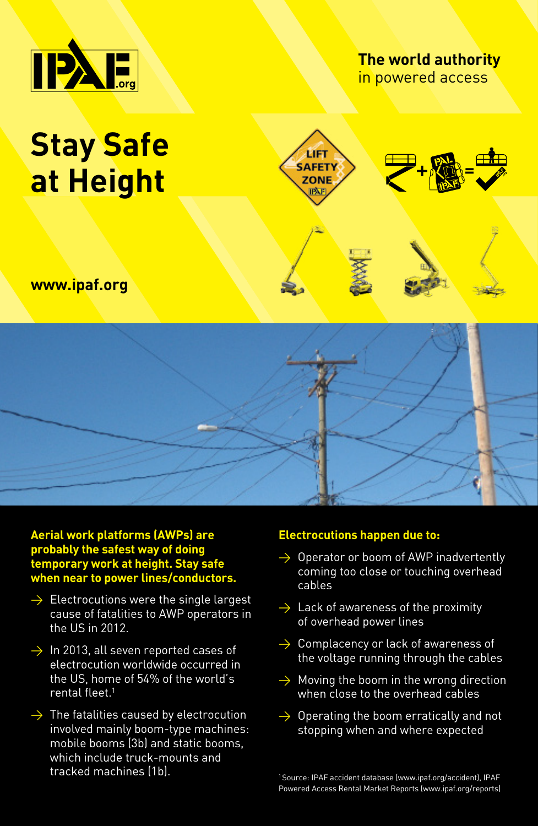

## **The world authority** in powered access

# **Stay Safe at Height**



## **www.ipaf.org**



### **Aerial work platforms (AWPs) are probably the safest way of doing temporary work at height. Stay safe when near to power lines/conductors.**

- $\rightarrow$  Electrocutions were the single largest cause of fatalities to AWP operators in the US in 2012.
- $\rightarrow$  In 2013, all seven reported cases of electrocution worldwide occurred in the US, home of 54% of the world's rental fleet.<sup>1</sup>
- $\rightarrow$  The fatalities caused by electrocution involved mainly boom-type machines: mobile booms (3b) and static booms, which include truck-mounts and tracked machines (1b).

#### **Electrocutions happen due to:**

- $\rightarrow$  Operator or boom of AWP inadvertently coming too close or touching overhead cables
- $\rightarrow$  Lack of awareness of the proximity of overhead power lines
- $\rightarrow$  Complacency or lack of awareness of the voltage running through the cables
- $\rightarrow$  Moving the boom in the wrong direction when close to the overhead cables
- $\rightarrow$  Operating the boom erratically and not stopping when and where expected

1 Source: IPAF accident database (www.ipaf.org/accident), IPAF Powered Access Rental Market Reports (www.ipaf.org/reports)